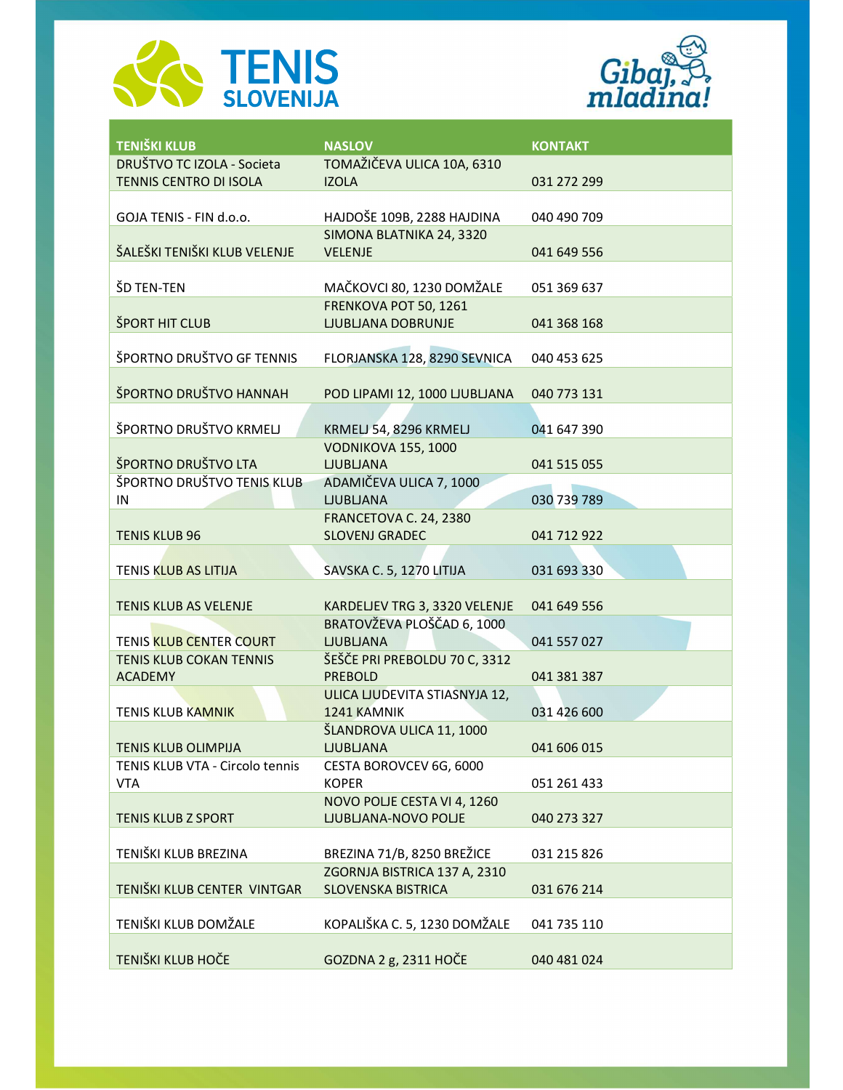



| <b>TENIŠKI KLUB</b>             | <b>NASLOV</b>                                               | <b>KONTAKT</b> |
|---------------------------------|-------------------------------------------------------------|----------------|
| DRUŠTVO TC IZOLA - Societa      | TOMAŽIČEVA ULICA 10A, 6310                                  |                |
| TENNIS CENTRO DI ISOLA          | <b>IZOLA</b>                                                | 031 272 299    |
| GOJA TENIS - FIN d.o.o.         | HAJDOŠE 109B, 2288 HAJDINA                                  | 040 490 709    |
|                                 | SIMONA BLATNIKA 24, 3320                                    |                |
| ŠALEŠKI TENIŠKI KLUB VELENJE    | <b>VELENJE</b>                                              | 041 649 556    |
| ŠD TEN-TEN                      | MAČKOVCI 80, 1230 DOMŽALE                                   | 051 369 637    |
|                                 | FRENKOVA POT 50, 1261                                       |                |
| ŠPORT HIT CLUB                  | <b>LJUBLJANA DOBRUNJE</b>                                   | 041 368 168    |
| ŠPORTNO DRUŠTVO GF TENNIS       | FLORJANSKA 128, 8290 SEVNICA                                | 040 453 625    |
|                                 |                                                             |                |
| ŠPORTNO DRUŠTVO HANNAH          | POD LIPAMI 12, 1000 LJUBLJANA                               | 040 773 131    |
| ŠPORTNO DRUŠTVO KRMELJ          | KRMELJ 54, 8296 KRMELJ                                      | 041 647 390    |
|                                 | <b>VODNIKOVA 155, 1000</b>                                  |                |
| ŠPORTNO DRUŠTVO LTA             | <b>LJUBLJANA</b>                                            | 041 515 055    |
| ŠPORTNO DRUŠTVO TENIS KLUB      | ADAMIČEVA ULICA 7, 1000                                     |                |
| IN                              | <b>LJUBLJANA</b>                                            | 030 739 789    |
|                                 | FRANCETOVA C. 24, 2380                                      |                |
| <b>TENIS KLUB 96</b>            | <b>SLOVENJ GRADEC</b>                                       | 041 712 922    |
|                                 |                                                             |                |
| <b>TENIS KLUB AS LITIJA</b>     | SAVSKA C. 5, 1270 LITIJA                                    | 031 693 330    |
|                                 |                                                             |                |
| TENIS KLUB AS VELENJE           | KARDELJEV TRG 3, 3320 VELENJE<br>BRATOVŽEVA PLOŠČAD 6, 1000 | 041 649 556    |
| TENIS KLUB CENTER COURT         | <b>LJUBLJANA</b>                                            | 041 557 027    |
| TENIS KLUB COKAN TENNIS         | ŠEŠČE PRI PREBOLDU 70 C, 3312                               |                |
| <b>ACADEMY</b>                  | <b>PREBOLD</b>                                              | 041 381 387    |
|                                 | ULICA LJUDEVITA STIASNYJA 12,                               |                |
| <b>TENIS KLUB KAMNIK</b>        | 1241 KAMNIK                                                 | 031 426 600    |
|                                 | ŠLANDROVA ULICA 11, 1000                                    |                |
| <b>TENIS KLUB OLIMPIJA</b>      | LJUBLJANA                                                   | 041 606 015    |
| TENIS KLUB VTA - Circolo tennis | CESTA BOROVCEV 6G, 6000                                     |                |
| <b>VTA</b>                      | <b>KOPER</b>                                                | 051 261 433    |
|                                 | NOVO POLJE CESTA VI 4, 1260                                 |                |
| <b>TENIS KLUB Z SPORT</b>       | LJUBLJANA-NOVO POLJE                                        | 040 273 327    |
| TENIŠKI KLUB BREZINA            | BREZINA 71/B, 8250 BREŽICE                                  | 031 215 826    |
|                                 | ZGORNJA BISTRICA 137 A, 2310                                |                |
| TENIŠKI KLUB CENTER VINTGAR     | <b>SLOVENSKA BISTRICA</b>                                   | 031 676 214    |
|                                 |                                                             |                |
| TENIŠKI KLUB DOMŽALE            | KOPALIŠKA C. 5, 1230 DOMŽALE                                | 041 735 110    |
| TENIŠKI KLUB HOČE               | GOZDNA 2 g, 2311 HOČE                                       | 040 481 024    |